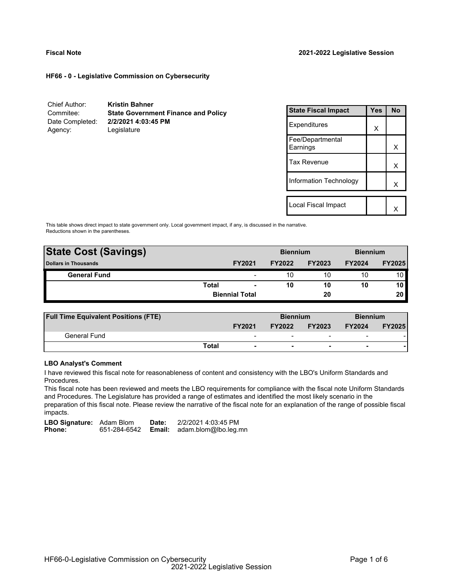#### **HF66 - 0 - Legislative Commission on Cybersecurity**

| Chief Author:   | <b>Kristin Bahner</b>                      |
|-----------------|--------------------------------------------|
| Commitee:       | <b>State Government Finance and Policy</b> |
| Date Completed: | 2/2/2021 4:03:45 PM                        |
| Agency:         | Legislature                                |

| <b>State Fiscal Impact</b>   | Yes | <b>No</b> |
|------------------------------|-----|-----------|
| Expenditures                 | X   |           |
| Fee/Departmental<br>Earnings |     | x         |
| <b>Tax Revenue</b>           |     | x         |
| Information Technology       |     | x         |
| Local Fiscal Impact          |     |           |

This table shows direct impact to state government only. Local government impact, if any, is discussed in the narrative. Reductions shown in the parentheses.

| <b>State Cost (Savings)</b> |                       |                          | <b>Biennium</b> |               | <b>Biennium</b> |               |  |
|-----------------------------|-----------------------|--------------------------|-----------------|---------------|-----------------|---------------|--|
| <b>Dollars in Thousands</b> |                       | <b>FY2021</b>            | <b>FY2022</b>   | <b>FY2023</b> | <b>FY2024</b>   | <b>FY2025</b> |  |
| <b>General Fund</b>         |                       | $\overline{\phantom{a}}$ | 10              | 10            | 10              | 10 I          |  |
|                             | Total                 | $\overline{\phantom{0}}$ | 10              | 10            | 10              | 10            |  |
|                             | <b>Biennial Total</b> |                          | 20              |               |                 | 20            |  |
|                             |                       |                          |                 |               |                 |               |  |

| <b>Full Time Equivalent Positions (FTE)</b> |                                   | <b>Biennium</b> |                          |                          | <b>Biennium</b> |
|---------------------------------------------|-----------------------------------|-----------------|--------------------------|--------------------------|-----------------|
|                                             | <b>FY2021</b>                     | <b>FY2022</b>   | <b>FY2023</b>            | <b>FY2024</b>            | <b>FY2025</b>   |
| General Fund                                | $\overline{\phantom{0}}$          |                 |                          | $\overline{\phantom{0}}$ |                 |
|                                             | Total<br>$\overline{\phantom{a}}$ | -               | $\overline{\phantom{0}}$ | -                        |                 |

#### **LBO Analyst's Comment**

I have reviewed this fiscal note for reasonableness of content and consistency with the LBO's Uniform Standards and Procedures.

This fiscal note has been reviewed and meets the LBO requirements for compliance with the fiscal note Uniform Standards and Procedures. The Legislature has provided a range of estimates and identified the most likely scenario in the preparation of this fiscal note. Please review the narrative of the fiscal note for an explanation of the range of possible fiscal impacts.

LBO Signature: Adam Blom Date: 2/2/2021 4:03:45 PM<br>Phone: 651-284-6542 **Email:** adam.blom@lbo.leg.r 651-284-6542 **Email:** adam.blom@lbo.leg.mn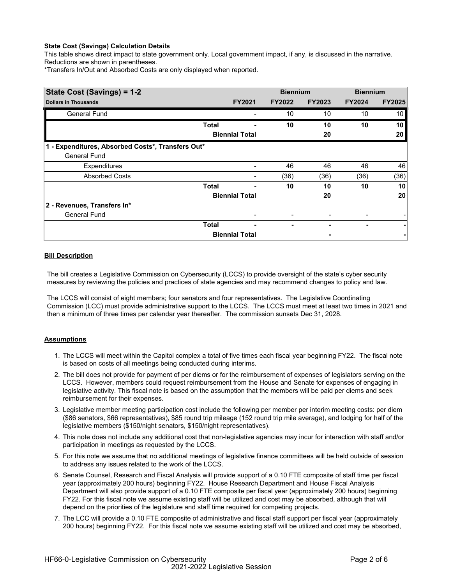### **State Cost (Savings) Calculation Details**

This table shows direct impact to state government only. Local government impact, if any, is discussed in the narrative. Reductions are shown in parentheses.

\*Transfers In/Out and Absorbed Costs are only displayed when reported.

| State Cost (Savings) = 1-2                        |              |                       |               | <b>Biennium</b> | <b>Biennium</b> |                 |
|---------------------------------------------------|--------------|-----------------------|---------------|-----------------|-----------------|-----------------|
| <b>Dollars in Thousands</b>                       |              | <b>FY2021</b>         | <b>FY2022</b> | <b>FY2023</b>   | <b>FY2024</b>   | <b>FY2025</b>   |
| <b>General Fund</b>                               |              |                       | 10            | 10              | 10              | 10 <sub>l</sub> |
|                                                   | <b>Total</b> |                       | 10            | 10              | 10              | 10 <sub>l</sub> |
|                                                   |              | <b>Biennial Total</b> |               | 20              |                 | 20 <sub>1</sub> |
| 1 - Expenditures, Absorbed Costs*, Transfers Out* |              |                       |               |                 |                 |                 |
| <b>General Fund</b>                               |              |                       |               |                 |                 |                 |
| <b>Expenditures</b>                               |              |                       | 46            | 46              | 46              | 46              |
| <b>Absorbed Costs</b>                             |              |                       | (36)          | (36)            | (36)            | (36)            |
|                                                   | <b>Total</b> |                       | 10            | 10              | 10              | 10              |
|                                                   |              | <b>Biennial Total</b> |               | 20              |                 | 20              |
| 2 - Revenues, Transfers In*                       |              |                       |               |                 |                 |                 |
| <b>General Fund</b>                               |              |                       |               |                 |                 |                 |
|                                                   | <b>Total</b> | -                     |               |                 |                 | ۰               |
|                                                   |              | <b>Biennial Total</b> |               |                 |                 |                 |

### **Bill Description**

The bill creates a Legislative Commission on Cybersecurity (LCCS) to provide oversight of the state's cyber security measures by reviewing the policies and practices of state agencies and may recommend changes to policy and law.

The LCCS will consist of eight members; four senators and four representatives. The Legislative Coordinating Commission (LCC) must provide administrative support to the LCCS. The LCCS must meet at least two times in 2021 and then a minimum of three times per calendar year thereafter. The commission sunsets Dec 31, 2028.

#### **Assumptions**

- 1. The LCCS will meet within the Capitol complex a total of five times each fiscal year beginning FY22. The fiscal note is based on costs of all meetings being conducted during interims.
- 2. The bill does not provide for payment of per diems or for the reimbursement of expenses of legislators serving on the LCCS. However, members could request reimbursement from the House and Senate for expenses of engaging in legislative activity. This fiscal note is based on the assumption that the members will be paid per diems and seek reimbursement for their expenses.
- 3. Legislative member meeting participation cost include the following per member per interim meeting costs: per diem (\$86 senators, \$66 representatives), \$85 round trip mileage (152 round trip mile average), and lodging for half of the legislative members (\$150/night senators, \$150/night representatives).
- 4. This note does not include any additional cost that non-legislative agencies may incur for interaction with staff and/or participation in meetings as requested by the LCCS.
- 5. For this note we assume that no additional meetings of legislative finance committees will be held outside of session to address any issues related to the work of the LCCS.
- 6. Senate Counsel, Research and Fiscal Analysis will provide support of a 0.10 FTE composite of staff time per fiscal year (approximately 200 hours) beginning FY22. House Research Department and House Fiscal Analysis Department will also provide support of a 0.10 FTE composite per fiscal year (approximately 200 hours) beginning FY22. For this fiscal note we assume existing staff will be utilized and cost may be absorbed, although that will depend on the priorities of the legislature and staff time required for competing projects.
- 7. The LCC will provide a 0.10 FTE composite of administrative and fiscal staff support per fiscal year (approximately 200 hours) beginning FY22. For this fiscal note we assume existing staff will be utilized and cost may be absorbed,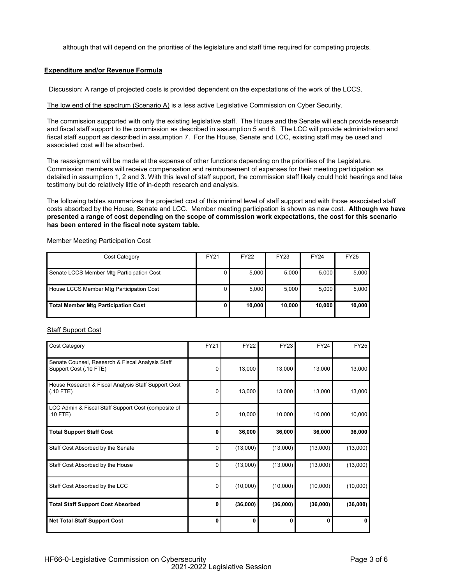although that will depend on the priorities of the legislature and staff time required for competing projects.

#### **Expenditure and/or Revenue Formula**

Discussion: A range of projected costs is provided dependent on the expectations of the work of the LCCS.

The low end of the spectrum (Scenario A) is a less active Legislative Commission on Cyber Security.

The commission supported with only the existing legislative staff. The House and the Senate will each provide research and fiscal staff support to the commission as described in assumption 5 and 6. The LCC will provide administration and fiscal staff support as described in assumption 7. For the House, Senate and LCC, existing staff may be used and associated cost will be absorbed.

The reassignment will be made at the expense of other functions depending on the priorities of the Legislature. Commission members will receive compensation and reimbursement of expenses for their meeting participation as detailed in assumption 1, 2 and 3. With this level of staff support, the commission staff likely could hold hearings and take testimony but do relatively little of in-depth research and analysis.

The following tables summarizes the projected cost of this minimal level of staff support and with those associated staff costs absorbed by the House, Senate and LCC. Member meeting participation is shown as new cost. **Although we have presented a range of cost depending on the scope of commission work expectations, the cost for this scenario has been entered in the fiscal note system table.**

| Cost Category                              | FY21 | <b>FY22</b> | <b>FY23</b> | <b>FY24</b> | <b>FY25</b> |
|--------------------------------------------|------|-------------|-------------|-------------|-------------|
|                                            |      |             |             |             |             |
| Senate LCCS Member Mtg Participation Cost  |      | 5,000       | 5,000       | 5,000       | 5,000       |
| House LCCS Member Mtg Participation Cost   |      | 5,000       | 5,000       | 5.000       | 5,000       |
| <b>Total Member Mtg Participation Cost</b> |      | 10.0001     | 10.000      | 10.000      | 10,000      |

Member Meeting Participation Cost

#### Staff Support Cost

| <b>Cost Category</b>                                                       | <b>FY21</b> | <b>FY22</b> | <b>FY23</b> | <b>FY24</b> | <b>FY25</b> |
|----------------------------------------------------------------------------|-------------|-------------|-------------|-------------|-------------|
| Senate Counsel, Research & Fiscal Analysis Staff<br>Support Cost (.10 FTE) | $\Omega$    | 13,000      | 13,000      | 13,000      | 13,000      |
| House Research & Fiscal Analysis Staff Support Cost<br>$(.10$ FTE)         | 0           | 13,000      | 13,000      | 13,000      | 13,000      |
| LCC Admin & Fiscal Staff Support Cost (composite of<br>$.10$ FTE)          | $\Omega$    | 10,000      | 10,000      | 10,000      | 10,000      |
| <b>Total Support Staff Cost</b>                                            | 0           | 36,000      | 36,000      | 36,000      | 36,000      |
| Staff Cost Absorbed by the Senate                                          | 0           | (13,000)    | (13,000)    | (13,000)    | (13,000)    |
| Staff Cost Absorbed by the House                                           | 0           | (13,000)    | (13,000)    | (13,000)    | (13,000)    |
| Staff Cost Absorbed by the LCC                                             | 0           | (10,000)    | (10,000)    | (10,000)    | (10,000)    |
| <b>Total Staff Support Cost Absorbed</b>                                   | 0           | (36,000)    | (36,000)    | (36,000)    | (36,000)    |
| <b>Net Total Staff Support Cost</b>                                        | 0           | 0           | 0           | 0           | 0           |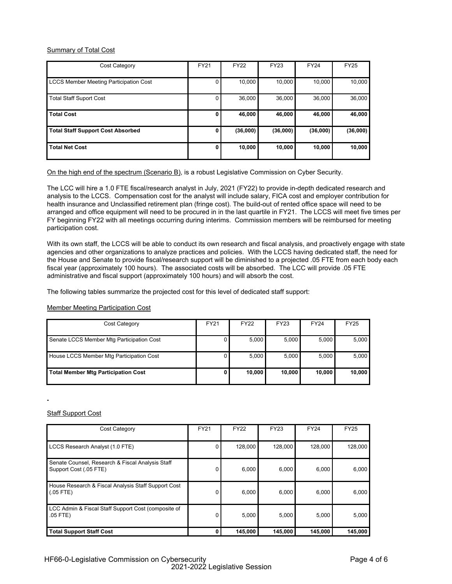#### Summary of Total Cost

| Cost Category                                 | <b>FY21</b> | <b>FY22</b> | <b>FY23</b> | <b>FY24</b> | <b>FY25</b> |
|-----------------------------------------------|-------------|-------------|-------------|-------------|-------------|
| <b>LCCS Member Meeting Participation Cost</b> |             | 10.000      | 10.000      | 10.000      | 10,000      |
| <b>Total Staff Suport Cost</b>                |             | 36.000      | 36,000      | 36,000      | 36,000      |
| <b>Total Cost</b>                             | 0           | 46,000      | 46.000      | 46,000      | 46,000      |
| <b>Total Staff Support Cost Absorbed</b>      | 0           | (36,000)    | (36,000)    | (36,000)    | (36,000)    |
| <b>Total Net Cost</b>                         | 0           | 10,000      | 10,000      | 10,000      | 10,000      |

On the high end of the spectrum (Scenario B), is a robust Legislative Commission on Cyber Security.

The LCC will hire a 1.0 FTE fiscal/research analyst in July, 2021 (FY22) to provide in-depth dedicated research and analysis to the LCCS. Compensation cost for the analyst will include salary, FICA cost and employer contribution for health insurance and Unclassified retirement plan (fringe cost). The build-out of rented office space will need to be arranged and office equipment will need to be procured in in the last quartile in FY21. The LCCS will meet five times per FY beginning FY22 with all meetings occurring during interims. Commission members will be reimbursed for meeting participation cost.

With its own staff, the LCCS will be able to conduct its own research and fiscal analysis, and proactively engage with state agencies and other organizations to analyze practices and policies. With the LCCS having dedicated staff, the need for the House and Senate to provide fiscal/research support will be diminished to a projected .05 FTE from each body each fiscal year (approximately 100 hours). The associated costs will be absorbed. The LCC will provide .05 FTE administrative and fiscal support (approximately 100 hours) and will absorb the cost.

The following tables summarize the projected cost for this level of dedicated staff support:

Member Meeting Participation Cost

| Cost Category                              | <b>FY21</b> | <b>FY22</b> | FY23   | <b>FY24</b> | <b>FY25</b> |
|--------------------------------------------|-------------|-------------|--------|-------------|-------------|
| Senate LCCS Member Mtg Participation Cost  |             | 5,000       | 5,000  | 5,000       | 5,000       |
| House LCCS Member Mtg Participation Cost   |             | 5.0001      | 5.0001 | 5.000       | 5,000       |
| <b>Total Member Mtg Participation Cost</b> |             | 10,000      | 10,000 | 10,000      | 10,000      |

Staff Support Cost

| <b>Cost Category</b>                                                       | <b>FY21</b> | <b>FY22</b> | <b>FY23</b> | <b>FY24</b> | <b>FY25</b> |
|----------------------------------------------------------------------------|-------------|-------------|-------------|-------------|-------------|
| LCCS Research Analyst (1.0 FTE)                                            | 0           | 128,000     | 128,000     | 128,000     | 128,000     |
| Senate Counsel, Research & Fiscal Analysis Staff<br>Support Cost (.05 FTE) | 0           | 6.000       | 6,000       | 6,000       | 6,000       |
| House Research & Fiscal Analysis Staff Support Cost<br>$(.05$ FTE)         | 0           | 6,000       | 6,000       | 6,000       | 6,000       |
| LCC Admin & Fiscal Staff Support Cost (composite of<br>$.05$ FTE)          | 0           | 5,000       | 5,000       | 5,000       | 5,000       |
| <b>Total Support Staff Cost</b>                                            |             | 145,000     | 145,000     | 145,000     | 145,000     |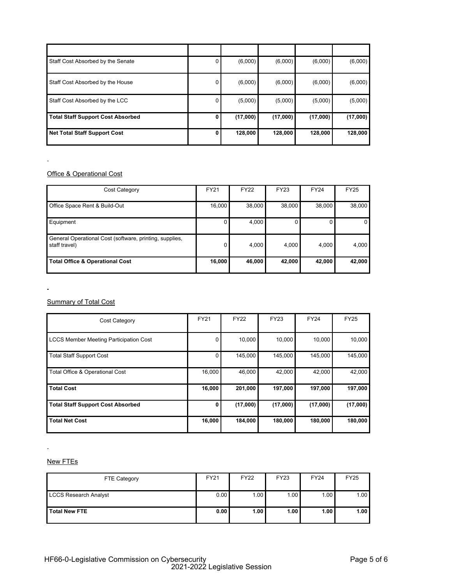| Staff Cost Absorbed by the Senate        | 0            | (6,000)  | (6,000)  | (6,000)  | (6,000)  |
|------------------------------------------|--------------|----------|----------|----------|----------|
| Staff Cost Absorbed by the House         | 0            | (6,000)  | (6,000)  | (6,000)  | (6,000)  |
| Staff Cost Absorbed by the LCC           | 0            | (5,000)  | (5,000)  | (5,000)  | (5,000)  |
| <b>Total Staff Support Cost Absorbed</b> | 0            | (17,000) | (17,000) | (17,000) | (17,000) |
| <b>Net Total Staff Support Cost</b>      | $\mathbf{0}$ | 128,000  | 128,000  | 128,000  | 128,000  |

# **Office & Operational Cost**

 $\overline{a}$ 

 $\mathbf{r}$ 

| Cost Category                                                            | <b>FY21</b> | <b>FY22</b> | <b>FY23</b> | <b>FY24</b> | <b>FY25</b> |
|--------------------------------------------------------------------------|-------------|-------------|-------------|-------------|-------------|
| Office Space Rent & Build-Out                                            | 16,000      | 38,000      | 38,000      | 38,000      | 38,000      |
| Equipment                                                                | 0           | 4,000       |             | 0           | 0           |
| General Operational Cost (software, printing, supplies,<br>staff travel) | $\Omega$    | 4,000       | 4.000       | 4.000       | 4,000       |
| <b>Total Office &amp; Operational Cost</b>                               | 16,000      | 46,000      | 42,000      | 42,000      | 42,000      |

**Summary of Total Cost** 

| <b>Cost Category</b>                          | <b>FY21</b> | <b>FY22</b> | <b>FY23</b> | <b>FY24</b> | <b>FY25</b> |
|-----------------------------------------------|-------------|-------------|-------------|-------------|-------------|
| <b>LCCS Member Meeting Participation Cost</b> | O           | 10,000      | 10,000      | 10,000      | 10,000      |
| <b>Total Staff Support Cost</b>               |             | 145.000     | 145.000     | 145.000     | 145.000     |
| <b>Total Office &amp; Operational Cost</b>    | 16,000      | 46,000      | 42.000      | 42.000      | 42,000      |
| <b>Total Cost</b>                             | 16,000      | 201,000     | 197,000     | 197,000     | 197,000     |
| <b>Total Staff Support Cost Absorbed</b>      | 0           | (17,000)    | (17,000)    | (17,000)    | (17,000)    |
| <b>Total Net Cost</b>                         | 16,000      | 184,000     | 180,000     | 180,000     | 180,000     |

# New FTEs

 $\overline{a}$ 

| FTE Category                 | <b>FY21</b> | <b>FY22</b> | <b>FY23</b> | <b>FY24</b> | <b>FY25</b> |
|------------------------------|-------------|-------------|-------------|-------------|-------------|
| <b>LCCS Research Analyst</b> | 0.00        | 1.00        | 1.00        | 1.00        | 1.00        |
| <b>Total New FTE</b>         | 0.00        | 1.00        | 1.00        | 1.00        | 1.00        |